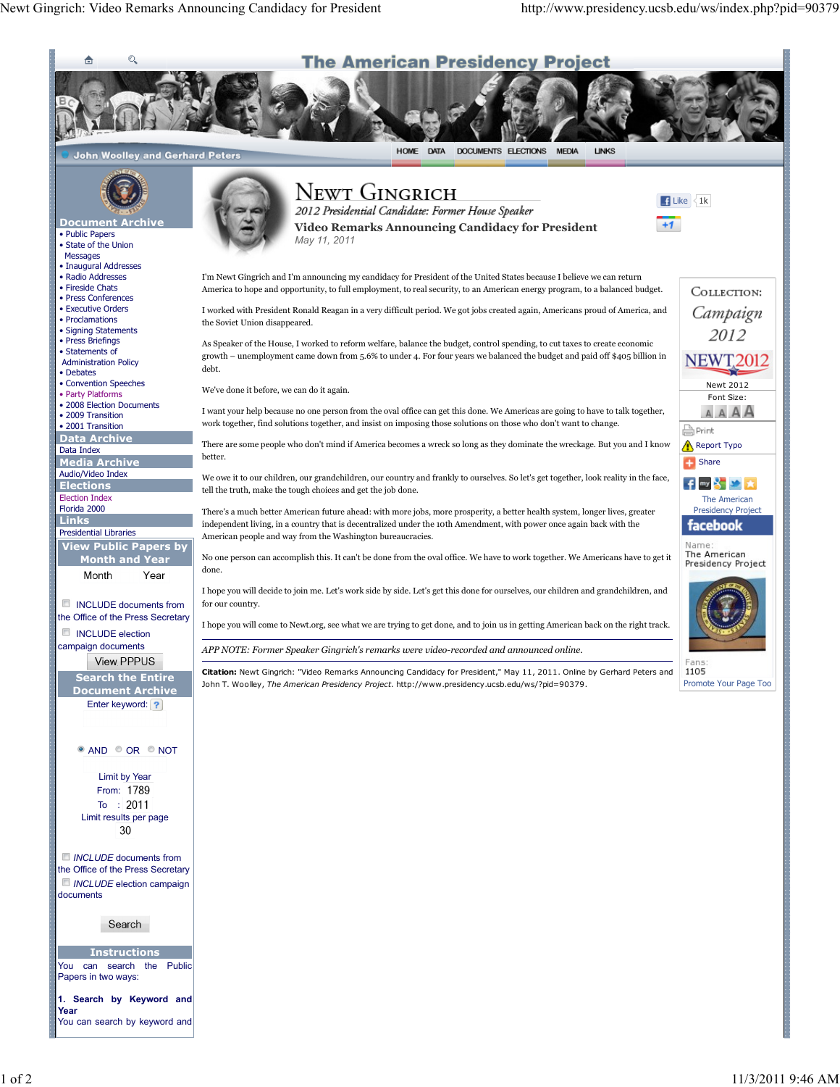